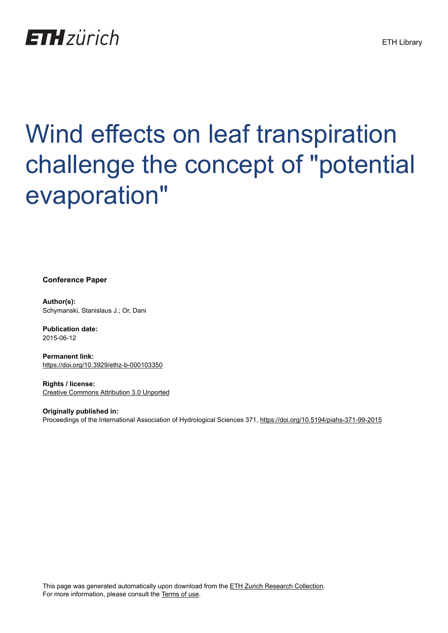

# Wind effects on leaf transpiration challenge the concept of "potential evaporation"

**Conference Paper**

**Author(s):** Schymanski, Stanislaus J.; Or, Dani

**Publication date:** 2015-06-12

**Permanent link:** <https://doi.org/10.3929/ethz-b-000103350>

**Rights / license:** [Creative Commons Attribution 3.0 Unported](http://creativecommons.org/licenses/by/3.0/)

**Originally published in:** Proceedings of the International Association of Hydrological Sciences 371, <https://doi.org/10.5194/piahs-371-99-2015>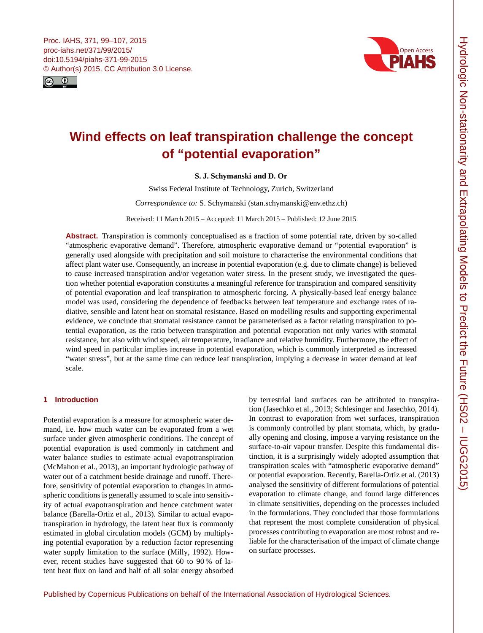<span id="page-1-0"></span>



# **Wind effects on leaf transpiration challenge the concept of "potential evaporation"**

**S. J. Schymanski and D. Or**

Swiss Federal Institute of Technology, Zurich, Switzerland

*Correspondence to:* S. Schymanski (stan.schymanski@env.ethz.ch)

Received: 11 March 2015 – Accepted: 11 March 2015 – Published: 12 June 2015

**Abstract.** Transpiration is commonly conceptualised as a fraction of some potential rate, driven by so-called "atmospheric evaporative demand". Therefore, atmospheric evaporative demand or "potential evaporation" is generally used alongside with precipitation and soil moisture to characterise the environmental conditions that affect plant water use. Consequently, an increase in potential evaporation (e.g. due to climate change) is believed to cause increased transpiration and/or vegetation water stress. In the present study, we investigated the question whether potential evaporation constitutes a meaningful reference for transpiration and compared sensitivity of potential evaporation and leaf transpiration to atmospheric forcing. A physically-based leaf energy balance model was used, considering the dependence of feedbacks between leaf temperature and exchange rates of radiative, sensible and latent heat on stomatal resistance. Based on modelling results and supporting experimental evidence, we conclude that stomatal resistance cannot be parameterised as a factor relating transpiration to potential evaporation, as the ratio between transpiration and potential evaporation not only varies with stomatal resistance, but also with wind speed, air temperature, irradiance and relative humidity. Furthermore, the effect of wind speed in particular implies increase in potential evaporation, which is commonly interpreted as increased "water stress", but at the same time can reduce leaf transpiration, implying a decrease in water demand at leaf scale.

# **1 Introduction**

Potential evaporation is a measure for atmospheric water demand, i.e. how much water can be evaporated from a wet surface under given atmospheric conditions. The concept of potential evaporation is used commonly in catchment and water balance studies to estimate actual evapotranspiration [\(McMahon et al.,](#page-9-0) [2013\)](#page-9-0), an important hydrologic pathway of water out of a catchment beside drainage and runoff. Therefore, sensitivity of potential evaporation to changes in atmospheric conditions is generally assumed to scale into sensitivity of actual evapotranspiration and hence catchment water balance [\(Barella-Ortiz et al.,](#page-9-1) [2013\)](#page-9-1). Similar to actual evapotranspiration in hydrology, the latent heat flux is commonly estimated in global circulation models (GCM) by multiplying potential evaporation by a reduction factor representing water supply limitation to the surface [\(Milly,](#page-9-2) [1992\)](#page-9-2). However, recent studies have suggested that 60 to 90 % of latent heat flux on land and half of all solar energy absorbed

by terrestrial land surfaces can be attributed to transpiration [\(Jasechko et al.,](#page-9-3) [2013;](#page-9-3) [Schlesinger and Jasechko,](#page-9-4) [2014\)](#page-9-4). In contrast to evaporation from wet surfaces, transpiration is commonly controlled by plant stomata, which, by gradually opening and closing, impose a varying resistance on the surface-to-air vapour transfer. Despite this fundamental distinction, it is a surprisingly widely adopted assumption that transpiration scales with "atmospheric evaporative demand" or potential evaporation. Recently, [Barella-Ortiz et al.](#page-9-1) [\(2013\)](#page-9-1) analysed the sensitivity of different formulations of potential evaporation to climate change, and found large differences in climate sensitivities, depending on the processes included in the formulations. They concluded that those formulations that represent the most complete consideration of physical processes contributing to evaporation are most robust and reliable for the characterisation of the impact of climate change on surface processes.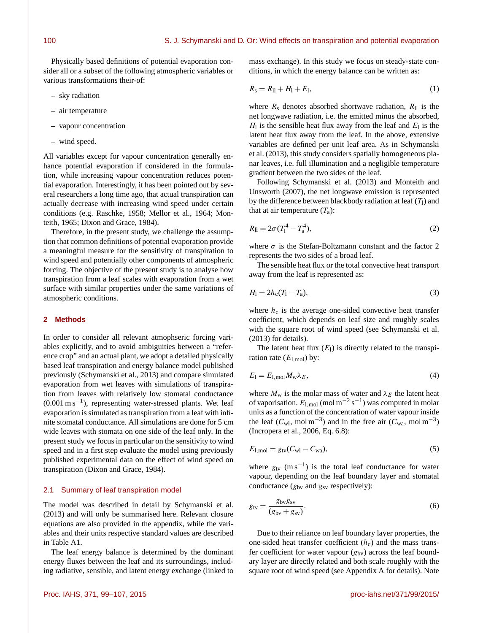Physically based definitions of potential evaporation consider all or a subset of the following atmospheric variables or various transformations their-of:

- **–** sky radiation
- **–** air temperature
- **–** vapour concentration
- **–** wind speed.

All variables except for vapour concentration generally enhance potential evaporation if considered in the formulation, while increasing vapour concentration reduces potential evaporation. Interestingly, it has been pointed out by several researchers a long time ago, that actual transpiration can actually decrease with increasing wind speed under certain conditions (e.g. [Raschke,](#page-9-5) [1958;](#page-9-5) [Mellor et al.,](#page-9-6) [1964;](#page-9-6) [Mon](#page-9-7)[teith,](#page-9-7) [1965;](#page-9-7) [Dixon and Grace,](#page-9-8) [1984\)](#page-9-8).

Therefore, in the present study, we challenge the assumption that common definitions of potential evaporation provide a meaningful measure for the sensitivity of transpiration to wind speed and potentially other components of atmospheric forcing. The objective of the present study is to analyse how transpiration from a leaf scales with evaporation from a wet surface with similar properties under the same variations of atmospheric conditions.

#### **2 Methods**

In order to consider all relevant atmophseric forcing variables explicitly, and to avoid ambiguities between a "reference crop" and an actual plant, we adopt a detailed physically based leaf transpiration and energy balance model published previously [\(Schymanski et al.,](#page-9-9) [2013\)](#page-9-9) and compare simulated evaporation from wet leaves with simulations of transpiration from leaves with relatively low stomatal conductance (0.001 m s−<sup>1</sup> ), representing water-stressed plants. Wet leaf evaporation is simulated as transpiration from a leaf with infinite stomatal conductance. All simulations are done for 5 cm wide leaves with stomata on one side of the leaf only. In the present study we focus in particular on the sensitivity to wind speed and in a first step evaluate the model using previously published experimental data on the effect of wind speed on transpiration [\(Dixon and Grace,](#page-9-8) [1984\)](#page-9-8).

#### 2.1 Summary of leaf transpiration model

The model was described in detail by [Schymanski et al.](#page-9-9) [\(2013\)](#page-9-9) and will only be summarised here. Relevant closure equations are also provided in the appendix, while the variables and their units respective standard values are described in Table [A1.](#page-7-0)

The leaf energy balance is determined by the dominant energy fluxes between the leaf and its surroundings, including radiative, sensible, and latent energy exchange (linked to

mass exchange). In this study we focus on steady-state conditions, in which the energy balance can be written as:

$$
R_{\rm s} = R_{\rm ll} + H_{\rm l} + E_{\rm l},\tag{1}
$$

where  $R_s$  denotes absorbed shortwave radiation,  $R_{ll}$  is the net longwave radiation, i.e. the emitted minus the absorbed,  $H_1$  is the sensible heat flux away from the leaf and  $E_1$  is the latent heat flux away from the leaf. In the above, extensive variables are defined per unit leaf area. As in [Schymanski](#page-9-9) [et al.](#page-9-9) [\(2013\)](#page-9-9), this study considers spatially homogeneous planar leaves, i.e. full illumination and a negligible temperature gradient between the two sides of the leaf.

Following [Schymanski et al.](#page-9-9) [\(2013\)](#page-9-9) and [Monteith and](#page-9-10) [Unsworth](#page-9-10) [\(2007\)](#page-9-10), the net longwave emission is represented by the difference between blackbody radiation at leaf  $(T_1)$  and that at air temperature  $(T_a)$ :

$$
R_{\rm ll} = 2\sigma (T_{\rm l}^4 - T_{\rm a}^4),\tag{2}
$$

where  $\sigma$  is the Stefan-Boltzmann constant and the factor 2 represents the two sides of a broad leaf.

The sensible heat flux or the total convective heat transport away from the leaf is represented as:

$$
H_1 = 2h_c(T_1 - T_a),
$$
\n(3)

where  $h_c$  is the average one-sided convective heat transfer coefficient, which depends on leaf size and roughly scales with the square root of wind speed (see [Schymanski et al.](#page-9-9) [\(2013\)](#page-9-9) for details).

The latent heat flux  $(E_1)$  is directly related to the transpiration rate  $(E_{1,\text{mol}})$  by:

$$
E_1 = E_{1,\text{mol}} M_{\text{w}} \lambda_E,\tag{4}
$$

where  $M_w$  is the molar mass of water and  $\lambda_E$  the latent heat of vaporisation.  $E_{1,\text{mol}}$  (mol m<sup>-2</sup> s<sup>-1</sup>) was computed in molar units as a function of the concentration of water vapour inside the leaf  $(C_{wl}$ , mol m<sup>-3</sup>) and in the free air  $(C_{wa}$ , mol m<sup>-3</sup>) [\(Incropera et al.,](#page-9-11) [2006,](#page-9-11) Eq. 6.8):

<span id="page-2-0"></span>
$$
E_{1,\text{mol}} = g_{\text{tv}}(C_{\text{wl}} - C_{\text{wa}}),
$$
\n(5)

where  $g_{\text{tv}}$  (m s<sup>-1</sup>) is the total leaf conductance for water vapour, depending on the leaf boundary layer and stomatal conductance  $(g_{bv}$  and  $g_{sv}$  respectively):

$$
g_{\text{tv}} = \frac{g_{\text{bv}} g_{\text{sv}}}{(g_{\text{bv}} + g_{\text{sv}})}.\tag{6}
$$

Due to their reliance on leaf boundary layer properties, the one-sided heat transfer coefficient  $(h<sub>c</sub>)$  and the mass transfer coefficient for water vapour  $(g_{bv})$  across the leaf boundary layer are directly related and both scale roughly with the square root of wind speed (see Appendix [A](#page-6-0) for details). Note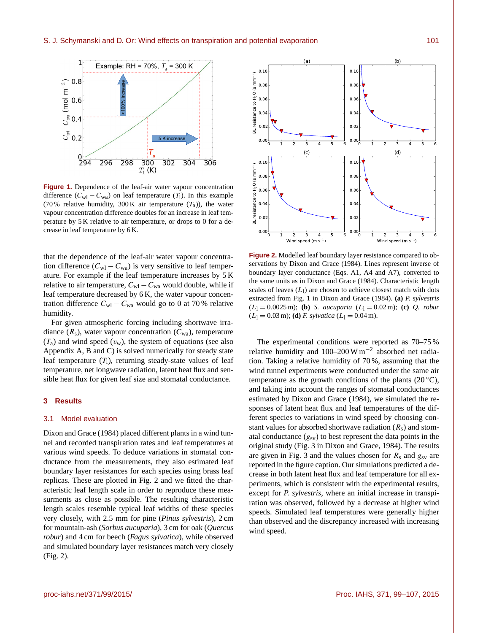

**Figure 1.** Dependence of the leaf-air water vapour concentration difference  $(C_{\text{wl}} - C_{\text{wa}})$  on leaf temperature  $(T_1)$ . In this example (70 % relative humidity, 300 K air temperature  $(T_a)$ ), the water vapour concentration difference doubles for an increase in leaf temperature by 5 K relative to air temperature, or drops to 0 for a decrease in leaf temperature by 6 K.

that the dependence of the leaf-air water vapour concentration difference ( $C_{\text{wl}} - C_{\text{wa}}$ ) is very sensitive to leaf temperature. For example if the leaf temperature increases by 5 K relative to air temperature,  $C_{wl} - C_{wa}$  would double, while if leaf temperature decreased by 6 K, the water vapour concentration difference  $C_{wl} - C_{wa}$  would go to 0 at 70 % relative humidity.

For given atmospheric forcing including shortwave irradiance  $(R_s)$ , water vapour concentration  $(C_{wa})$ , temperature  $(T_a)$  and wind speed  $(v_w)$ , the system of equations (see also Appendix [A,](#page-6-0) [B](#page-6-1) and [C\)](#page-7-1) is solved numerically for steady state leaf temperature  $(T_1)$ , returning steady-state values of leaf temperature, net longwave radiation, latent heat flux and sensible heat flux for given leaf size and stomatal conductance.

#### **3 Results**

#### 3.1 Model evaluation

[Dixon and Grace](#page-9-8) [\(1984\)](#page-9-8) placed different plants in a wind tunnel and recorded transpiration rates and leaf temperatures at various wind speeds. To deduce variations in stomatal conductance from the measurements, they also estimated leaf boundary layer resistances for each species using brass leaf replicas. These are plotted in Fig. [2](#page-3-0) and we fitted the characteristic leaf length scale in order to reproduce these measurments as close as possible. The resulting characteristic length scales resemble typical leaf widths of these species very closely, with 2.5 mm for pine (*Pinus sylvestris*), 2 cm for mountain-ash (*Sorbus aucuparia*), 3 cm for oak (*Quercus robur*) and 4 cm for beech (*Fagus sylvatica*), while observed and simulated boundary layer resistances match very closely (Fig. [2\)](#page-3-0).

<span id="page-3-0"></span>

**Figure 2.** Modelled leaf boundary layer resistance compared to observations by [Dixon and Grace](#page-9-8) [\(1984\)](#page-9-8). Lines represent inverse of boundary layer conductance (Eqs. [A1,](#page-6-2) [A4](#page-6-3) and [A7\)](#page-6-4), converted to the same units as in [Dixon and Grace](#page-9-8) [\(1984\)](#page-9-8). Characteristic length scales of leaves  $(L<sub>1</sub>)$  are chosen to achieve closest match with dots extracted from Fig. 1 in [Dixon and Grace](#page-9-8) [\(1984\)](#page-9-8). **(a)** *P. sylvestris*  $(L_1 = 0.0025 \text{ m})$ ; **(b)** *S. aucuparia*  $(L_1 = 0.02 \text{ m})$ ; **(c)** *Q. robur*  $(L_1 = 0.03 \text{ m})$ ; **(d)** *F. sylvatica*  $(L_1 = 0.04 \text{ m})$ .

The experimental conditions were reported as 70–75 % relative humidity and 100–200 W m−<sup>2</sup> absorbed net radiation. Taking a relative humidity of 70 %, assuming that the wind tunnel experiments were conducted under the same air temperature as the growth conditions of the plants  $(20^{\circ}C)$ , and taking into account the ranges of stomatal conductances estimated by [Dixon and Grace](#page-9-8) [\(1984\)](#page-9-8), we simulated the responses of latent heat flux and leaf temperatures of the different species to variations in wind speed by choosing constant values for absorbed shortwave radiation  $(R_s)$  and stomatal conductance  $(g_{sv})$  to best represent the data points in the original study (Fig. 3 in [Dixon and Grace,](#page-9-8) [1984\)](#page-9-8). The results are given in Fig. [3](#page-4-0) and the values chosen for  $R_s$  and  $g_{sv}$  are reported in the figure caption. Our simulations predicted a decrease in both latent heat flux and leaf temperature for all experiments, which is consistent with the experimental results, except for *P. sylvestris*, where an initial increase in transpiration was observed, followed by a decrease at higher wind speeds. Simulated leaf temperatures were generally higher than observed and the discrepancy increased with increasing wind speed.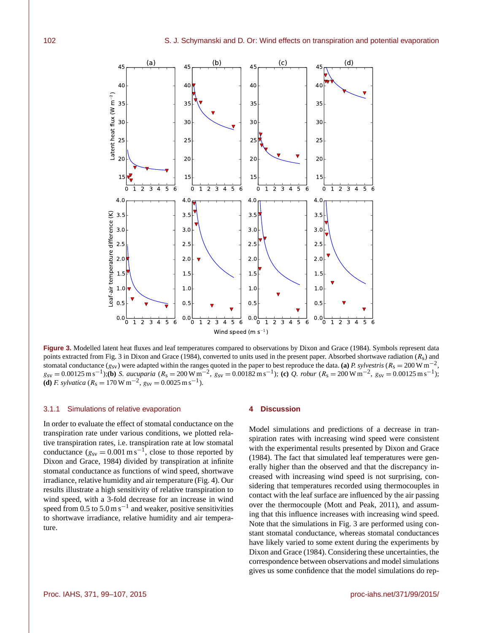<span id="page-4-0"></span>

Figure 3. Modelled latent heat fluxes and leaf temperatures compared to observations by [Dixon and Grace](#page-9-8) [\(1984\)](#page-9-8). Symbols represent data points extracted from Fig. 3 in [Dixon and Grace](#page-9-8) [\(1984\)](#page-9-8), converted to units used in the present paper. Absorbed shortwave radiation  $(R<sub>s</sub>)$  and stomatal conductance  $(g_{sv})$  were adapted within the ranges quoted in the paper to best reproduce the data. (a) *P. sylvestris* ( $R_s = 200 \text{ W m}^{-2}$ ,  $g_{\text{sv}} = 0.00125 \text{ m s}^{-1}$ ;**(b)** *S. aucuparia*  $(R_s = 200 \text{ W m}^{-2}$ ,  $g_{\text{sv}} = 0.00182 \text{ m s}^{-1}$ ; **(c)** *Q. robur*  $(R_s = 200 \text{ W m}^{-2}$ ,  $g_{\text{sv}} = 0.00125 \text{ m s}^{-1}$ ; **(d)** *F. sylvatica* ( $R_s = 170 \text{ W m}^{-2}$ ,  $g_{sv} = 0.0025 \text{ m s}^{-1}$ ).

#### 3.1.1 Simulations of relative evaporation

In order to evaluate the effect of stomatal conductance on the transpiration rate under various conditions, we plotted relative transpiration rates, i.e. transpiration rate at low stomatal conductance  $(g_{sv} = 0.001 \text{ m s}^{-1})$ , close to those reported by [Dixon and Grace,](#page-9-8) [1984\)](#page-9-8) divided by transpiration at infinite stomatal conductance as functions of wind speed, shortwave irradiance, relative humidity and air temperature (Fig. [4\)](#page-5-0). Our results illustrate a high sensitivity of relative transpiration to wind speed, with a 3-fold decrease for an increase in wind speed from  $0.5$  to  $5.0 \text{ m s}^{-1}$  and weaker, positive sensitivities to shortwave irradiance, relative humidity and air temperature.

### **4 Discussion**

Model simulations and predictions of a decrease in transpiration rates with increasing wind speed were consistent with the experimental results presented by [Dixon and Grace](#page-9-8) [\(1984\)](#page-9-8). The fact that simulated leaf temperatures were generally higher than the observed and that the discrepancy increased with increasing wind speed is not surprising, considering that temperatures recorded using thermocouples in contact with the leaf surface are influenced by the air passing over the thermocouple [\(Mott and Peak,](#page-9-12) [2011\)](#page-9-12), and assuming that this influence increases with increasing wind speed. Note that the simulations in Fig. [3](#page-4-0) are performed using constant stomatal conductance, whereas stomatal conductances have likely varied to some extent during the experiments by [Dixon and Grace](#page-9-8) [\(1984\)](#page-9-8). Considering these uncertainties, the correspondence between observations and model simulations gives us some confidence that the model simulations do rep-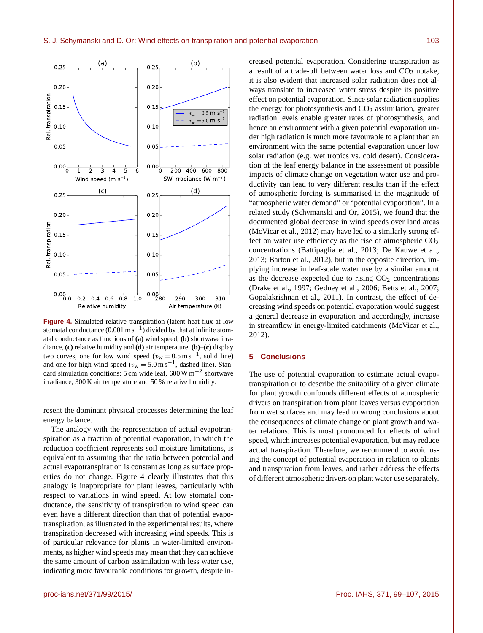<span id="page-5-0"></span>

**Figure 4.** Simulated relative transpiration (latent heat flux at low stomatal conductance  $(0.001 \text{ m s}^{-1})$  divided by that at infinite stomatal conductance as functions of **(a)** wind speed, **(b)** shortwave irradiance, **(c)** relative humidity and **(d)** air temperature. **(b)**–**(c)** display two curves, one for low wind speed ( $v_w = 0.5 \text{ m s}^{-1}$ , solid line) and one for high wind speed ( $v_w = 5.0 \text{ m s}^{-1}$ , dashed line). Standard simulation conditions: 5 cm wide leaf,  $600 \text{ W m}^{-2}$  shortwave irradiance, 300 K air temperature and 50 % relative humidity.

resent the dominant physical processes determining the leaf energy balance.

The analogy with the representation of actual evapotranspiration as a fraction of potential evaporation, in which the reduction coefficient represents soil moisture limitations, is equivalent to assuming that the ratio between potential and actual evapotranspiration is constant as long as surface properties do not change. Figure [4](#page-5-0) clearly illustrates that this analogy is inappropriate for plant leaves, particularly with respect to variations in wind speed. At low stomatal conductance, the sensitivity of transpiration to wind speed can even have a different direction than that of potential evapotranspiration, as illustrated in the experimental results, where transpiration decreased with increasing wind speeds. This is of particular relevance for plants in water-limited environments, as higher wind speeds may mean that they can achieve the same amount of carbon assimilation with less water use, indicating more favourable conditions for growth, despite increased potential evaporation. Considering transpiration as a result of a trade-off between water loss and  $CO<sub>2</sub>$  uptake, it is also evident that increased solar radiation does not always translate to increased water stress despite its positive effect on potential evaporation. Since solar radiation supplies the energy for photosynthesis and  $CO<sub>2</sub>$  assimilation, greater radiation levels enable greater rates of photosynthesis, and hence an environment with a given potential evaporation under high radiation is much more favourable to a plant than an environment with the same potential evaporation under low solar radiation (e.g. wet tropics vs. cold desert). Consideration of the leaf energy balance in the assessment of possible impacts of climate change on vegetation water use and productivity can lead to very different results than if the effect of atmospheric forcing is summarised in the magnitude of "atmospheric water demand" or "potential evaporation". In a related study [\(Schymanski and Or,](#page-9-13) [2015\)](#page-9-13), we found that the documented global decrease in wind speeds over land areas [\(McVicar et al.,](#page-9-14) [2012\)](#page-9-14) may have led to a similarly strong effect on water use efficiency as the rise of atmospheric  $CO<sub>2</sub>$ concentrations [\(Battipaglia et al.,](#page-9-15) [2013;](#page-9-15) [De Kauwe et al.,](#page-9-16) [2013;](#page-9-16) [Barton et al.,](#page-9-17) [2012\)](#page-9-17), but in the opposite direction, implying increase in leaf-scale water use by a similar amount as the decrease expected due to rising  $CO<sub>2</sub>$  concentrations [\(Drake et al.,](#page-9-18) [1997;](#page-9-18) [Gedney et al.,](#page-9-19) [2006;](#page-9-19) [Betts et al.,](#page-9-20) [2007;](#page-9-20) [Gopalakrishnan et al.,](#page-9-21) [2011\)](#page-9-21). In contrast, the effect of decreasing wind speeds on potential evaporation would suggest a general decrease in evaporation and accordingly, increase in streamflow in energy-limited catchments [\(McVicar et al.,](#page-9-14) [2012\)](#page-9-14).

## **5 Conclusions**

The use of potential evaporation to estimate actual evapotranspiration or to describe the suitability of a given climate for plant growth confounds different effects of atmospheric drivers on transpiration from plant leaves versus evaporation from wet surfaces and may lead to wrong conclusions about the consequences of climate change on plant growth and water relations. This is most pronounced for effects of wind speed, which increases potential evaporation, but may reduce actual transpiration. Therefore, we recommend to avoid using the concept of potential evaporation in relation to plants and transpiration from leaves, and rather address the effects of different atmospheric drivers on plant water use separately.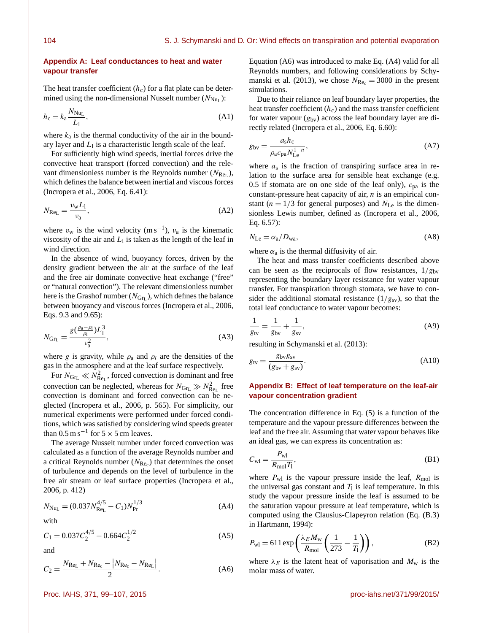## <span id="page-6-0"></span>**Appendix A: Leaf conductances to heat and water vapour transfer**

The heat transfer coefficient  $(h_c)$  for a flat plate can be determined using the non-dimensional Nusselt number  $(N_{\text{Nu}_L})$ :

$$
h_{\rm c} = k_{\rm a} \frac{N_{\rm Nu_L}}{L_1},\tag{A1}
$$

where  $k_a$  is the thermal conductivity of the air in the boundary layer and  $L_1$  is a characteristic length scale of the leaf.

For sufficiently high wind speeds, inertial forces drive the convective heat transport (forced convection) and the relevant dimensionless number is the Reynolds number  $(N_{\text{Re}_L})$ , which defines the balance between inertial and viscous forces [\(Incropera et al.,](#page-9-11) [2006,](#page-9-11) Eq. 6.41):

$$
N_{\text{Re}_{\text{L}}} = \frac{v_{\text{w}} L_1}{v_{\text{a}}},\tag{A2}
$$

where  $v_w$  is the wind velocity (m s<sup>-1</sup>),  $v_a$  is the kinematic viscosity of the air and  $L_1$  is taken as the length of the leaf in wind direction.

In the absence of wind, buoyancy forces, driven by the density gradient between the air at the surface of the leaf and the free air dominate convective heat exchange ("free" or "natural convection"). The relevant dimensionless number here is the Grashof number  $(N_{\text{Gr}_{\text{L}}})$ , which defines the balance between buoyancy and viscous forces [\(Incropera et al.,](#page-9-11) [2006,](#page-9-11) Eqs. 9.3 and 9.65):

$$
N_{\rm Gr_L} = \frac{g(\frac{\rho_a - \rho_l}{\rho_l})L_1^3}{v_a^2},\tag{A3}
$$

where g is gravity, while  $\rho_a$  and  $\rho_l$  are the densities of the gas in the atmosphere and at the leaf surface respectively.

For  $N_{\text{Gr}_{\text{L}}} \ll N_{\text{Re}_{\text{L}}}^2$ , forced convection is dominant and free convection can be neglected, whereas for  $N_{\text{Gr}_{\text{L}}} \gg N_{\text{Re}_{\text{L}}}^2$  free convection is dominant and forced convection can be neglected [\(Incropera et al.,](#page-9-11) [2006,](#page-9-11) p. 565). For simplicity, our numerical experiments were performed under forced conditions, which was satisfied by considering wind speeds greater than  $0.5 \text{ m s}^{-1}$  for  $5 \times 5 \text{ cm}$  leaves.

The average Nusselt number under forced convection was calculated as a function of the average Reynolds number and a critical Reynolds number  $(N_{\text{Re}_c})$  that determines the onset of turbulence and depends on the level of turbulence in the free air stream or leaf surface properties [\(Incropera et al.,](#page-9-11) [2006,](#page-9-11) p. 412)

<span id="page-6-3"></span>
$$
N_{\rm Nu_L} = (0.037 N_{\rm Re_L}^{4/5} - C_1) N_{\rm Pr}^{1/3}
$$
 (A4)

with

$$
C_1 = 0.037 C_2^{4/5} - 0.664 C_2^{1/2}
$$
 (A5)

<span id="page-6-5"></span>and

$$
C_2 = \frac{N_{\text{Re}_{\text{L}}} + N_{\text{Re}_{\text{c}}} - |N_{\text{Re}_{\text{c}}} - N_{\text{Re}_{\text{L}}}|}{2}.
$$
 (A6)

Equation [\(A6\)](#page-6-5) was introduced to make Eq. [\(A4\)](#page-6-3) valid for all Reynolds numbers, and following considerations by [Schy](#page-9-9)[manski et al.](#page-9-9) [\(2013\)](#page-9-9), we chose  $N_{\text{Re}_c} = 3000$  in the present simulations.

<span id="page-6-2"></span>Due to their reliance on leaf boundary layer properties, the heat transfer coefficient  $(h_c)$  and the mass transfer coefficient for water vapour  $(g_{bv})$  across the leaf boundary layer are directly related [\(Incropera et al.,](#page-9-11) [2006,](#page-9-11) Eq. 6.60):

<span id="page-6-4"></span>
$$
g_{\rm bv} = \frac{a_{\rm s} h_{\rm c}}{\rho_{\rm a} c_{\rm pa} N_{\rm Le}^{1-n}},\tag{A7}
$$

where  $a<sub>s</sub>$  is the fraction of transpiring surface area in relation to the surface area for sensible heat exchange (e.g. 0.5 if stomata are on one side of the leaf only),  $c_{pa}$  is the constant-pressure heat capacity of air,  $n$  is an empirical constant ( $n = 1/3$  for general purposes) and  $N_{\text{Le}}$  is the dimensionless Lewis number, defined as [\(Incropera et al.,](#page-9-11) [2006,](#page-9-11) Eq. 6.57):

$$
N_{\rm Le} = \alpha_{\rm a} / D_{\rm wa},\tag{A8}
$$

where  $\alpha_a$  is the thermal diffusivity of air.

The heat and mass transfer coefficients described above can be seen as the reciprocals of flow resistances,  $1/g_{\text{bv}}$ representing the boundary layer resistance for water vapour transfer. For transpiration through stomata, we have to consider the additional stomatal resistance  $(1/g<sub>sv</sub>)$ , so that the total leaf conductance to water vapour becomes:

$$
\frac{1}{g_{\text{tv}}} = \frac{1}{g_{\text{bv}}} + \frac{1}{g_{\text{sv}}},\tag{A9}
$$

resulting in [Schymanski et al.](#page-9-9) [\(2013\)](#page-9-9):

$$
g_{\text{tv}} = \frac{g_{\text{bv}} g_{\text{sv}}}{(g_{\text{bv}} + g_{\text{sv}})}.\tag{A10}
$$

### <span id="page-6-1"></span>**Appendix B: Effect of leaf temperature on the leaf-air vapour concentration gradient**

The concentration difference in Eq. [\(5\)](#page-2-0) is a function of the temperature and the vapour pressure differences between the leaf and the free air. Assuming that water vapour behaves like an ideal gas, we can express its concentration as:

$$
C_{\rm wl} = \frac{P_{\rm wl}}{R_{\rm mol}T_1},\tag{B1}
$$

where  $P_{\text{wl}}$  is the vapour pressure inside the leaf,  $R_{\text{mol}}$  is the universal gas constant and  $T_1$  is leaf temperature. In this study the vapour pressure inside the leaf is assumed to be the saturation vapour pressure at leaf temperature, which is computed using the Clausius-Clapeyron relation (Eq. (B.3) in [Hartmann,](#page-9-22) [1994\)](#page-9-22):

$$
P_{\rm w1} = 611 \exp\left(\frac{\lambda_E M_{\rm w}}{R_{\rm mol}} \left(\frac{1}{273} - \frac{1}{T_1}\right)\right),\tag{B2}
$$

where  $\lambda_E$  is the latent heat of vaporisation and  $M_w$  is the molar mass of water.

# Proc. IAHS, 371, 99[–107,](#page-1-0) 2015 proc-iahs.net/371/99/2015/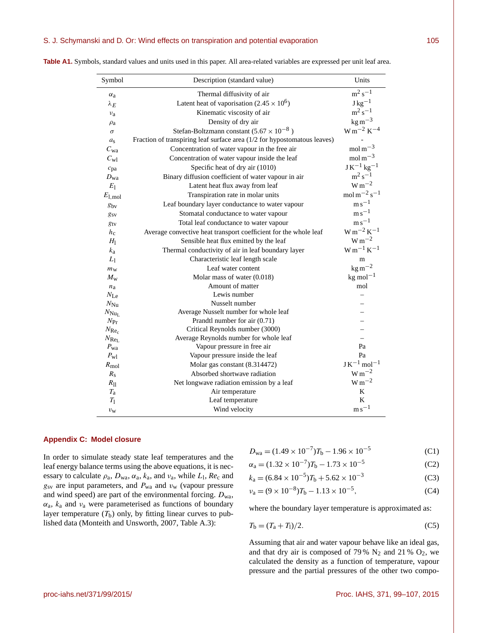| Symbol                | Description (standard value)                                             | Units                          |
|-----------------------|--------------------------------------------------------------------------|--------------------------------|
| $\alpha$ <sub>a</sub> | Thermal diffusivity of air                                               | $m^2 s^{-1}$                   |
| $\lambda_E$           | Latent heat of vaporisation $(2.45 \times 10^6)$                         | $J \text{kg}^{-1}$             |
| $v_{\rm a}$           | Kinematic viscosity of air                                               | $m^2 s^{-1}$                   |
| $\rho_a$              | Density of dry air                                                       | $\mathrm{kg\,m^{-3}}$          |
| $\sigma$              | Stefan-Boltzmann constant $(5.67 \times 10^{-8})$                        | $W m^{-2} K^{-4}$              |
| a <sub>s</sub>        | Fraction of transpiring leaf surface area (1/2 for hypostomatous leaves) |                                |
| $C_{\rm Wa}$          | Concentration of water vapour in the free air                            | mol $m^{-3}$                   |
| $C_{\rm w1}$          | Concentration of water vapour inside the leaf                            | $mol\,\mathrm{m}^{-3}$         |
| $c_{pa}$              | Specific heat of dry air (1010)                                          | $JK^{-1}kg^{-1}$               |
| $D_{\rm wa}$          | Binary diffusion coefficient of water vapour in air                      | $m^2 s^{-1}$                   |
| $E_1$                 | Latent heat flux away from leaf                                          | $W m^{-2}$                     |
| $E_{1, \text{mol}}$   | Transpiration rate in molar units                                        | $\mathrm{mol\,m^{-2}\,s^{-1}}$ |
| $g_{\text{bv}}$       | Leaf boundary layer conductance to water vapour                          | $\mathrm{m}\,\mathrm{s}^{-1}$  |
| $g_{SV}$              | Stomatal conductance to water vapour                                     | $m s^{-1}$                     |
| $g_{\text{tv}}$       | Total leaf conductance to water vapour                                   | $m s^{-1}$                     |
| $h_{c}$               | Average convective heat transport coefficient for the whole leaf         | $\mathrm{W\,m^{-2}\,K^{-1}}$   |
| H <sub>1</sub>        | Sensible heat flux emitted by the leaf                                   | $\mathrm{W\,m^{-2}}$           |
| $k_{\rm a}$           | Thermal conductivity of air in leaf boundary layer                       | $W m^{-1} K^{-1}$              |
| $L_1$                 | Characteristic leaf length scale                                         | m                              |
| $m_{\rm W}$           | Leaf water content                                                       | $\text{kg m}^{-2}$             |
| $M_{\rm w}$           | Molar mass of water (0.018)                                              | $kg$ mol <sup>-1</sup>         |
| $n_{\rm a}$           | Amount of matter                                                         | mol                            |
| $N_{\rm Le}$          | Lewis number                                                             |                                |
| $N_{\rm Nu}$          | Nusselt number                                                           |                                |
| $N_{\rm Nu_L}$        | Average Nusselt number for whole leaf                                    |                                |
| $N_{\rm Pr}$          | Prandtl number for air (0.71)                                            |                                |
| $N_{\text{Re}_c}$     | Critical Reynolds number (3000)                                          |                                |
| $N_{\rm{Re}}$         | Average Reynolds number for whole leaf                                   |                                |
| $P_{\rm wa}$          | Vapour pressure in free air                                              | Pa                             |
| $P_{\rm w1}$          | Vapour pressure inside the leaf                                          | Pa                             |
| $R_{\text{mol}}$      | Molar gas constant (8.314472)                                            | $JK^{-1}$ mol <sup>-1</sup>    |
| $R_{\rm S}$           | Absorbed shortwave radiation                                             | $W m^{-2}$                     |
| $R_{11}$              | Net longwave radiation emission by a leaf                                | $W m^{-2}$                     |
| $T_{\rm a}$           | Air temperature                                                          | K                              |
| $T_1$                 | Leaf temperature                                                         | K                              |
| $v_{\rm w}$           | Wind velocity                                                            | ${\rm m\,s^{-1}}$              |

<span id="page-7-0"></span>

|  | <b>Table A1.</b> Symbols, standard values and units used in this paper. All area-related variables are expressed per unit leaf area. |  |  |  |  |  |  |  |  |  |  |  |
|--|--------------------------------------------------------------------------------------------------------------------------------------|--|--|--|--|--|--|--|--|--|--|--|
|--|--------------------------------------------------------------------------------------------------------------------------------------|--|--|--|--|--|--|--|--|--|--|--|

#### <span id="page-7-1"></span>**Appendix C: Model closure**

In order to simulate steady state leaf temperatures and the leaf energy balance terms using the above equations, it is necessary to calculate  $\rho_a$ ,  $D_{wa}$ ,  $\alpha_a$ ,  $k_a$ , and  $\nu_a$ , while  $L_1$ ,  $Re_c$  and  $g_{\rm sv}$  are input parameters, and  $P_{\rm wa}$  and  $v_{\rm w}$  (vapour pressure and wind speed) are part of the environmental forcing.  $D_{wa}$ ,  $\alpha_a$ ,  $k_a$  and  $\nu_a$  were parameterised as functions of boundary layer temperature  $(T_b)$  only, by fitting linear curves to published data [\(Monteith and Unsworth,](#page-9-10) [2007,](#page-9-10) Table A.3):

$$
D_{\text{wa}} = (1.49 \times 10^{-7})T_{\text{b}} - 1.96 \times 10^{-5}
$$
 (C1)

$$
\alpha_{\rm a} = (1.32 \times 10^{-7}) T_{\rm b} - 1.73 \times 10^{-5} \tag{C2}
$$

$$
k_a = (6.84 \times 10^{-5})T_b + 5.62 \times 10^{-3}
$$
 (C3)

$$
\nu_a = (9 \times 10^{-8})T_b - 1.13 \times 10^{-5},\tag{C4}
$$

where the boundary layer temperature is approximated as:

$$
T_{\rm b} = (T_{\rm a} + T_{\rm l})/2. \tag{C5}
$$

Assuming that air and water vapour behave like an ideal gas, and that dry air is composed of 79%  $N_2$  and 21%  $O_2$ , we calculated the density as a function of temperature, vapour pressure and the partial pressures of the other two compo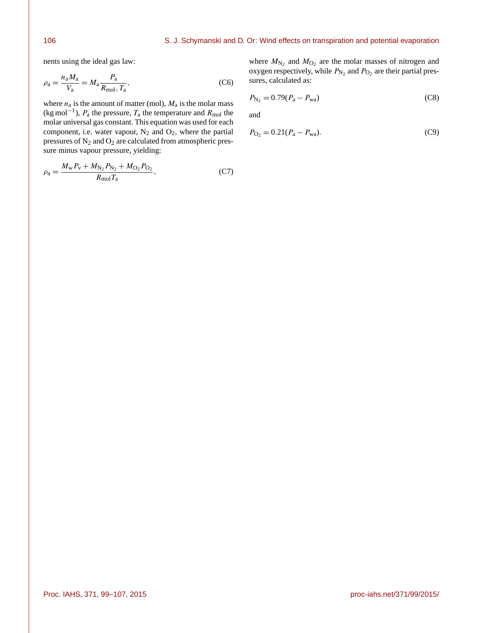nents using the ideal gas law:

$$
\rho_{\rm a} = \frac{n_{\rm a} M_{\rm a}}{V_{\rm a}} = M_{\rm a} \frac{P_{\rm a}}{R_{\rm mol}, T_{\rm a}},\tag{C6}
$$

where  $n_a$  is the amount of matter (mol),  $M_a$  is the molar mass (kg mol<sup>-1</sup>),  $P_a$  the pressure,  $T_a$  the temperature and  $R_{mol}$  the molar universal gas constant. This equation was used for each component, i.e. water vapour,  $N_2$  and  $O_2$ , where the partial pressures of  $N_2$  and  $O_2$  are calculated from atmospheric pressure minus vapour pressure, yielding:

$$
\rho_{\rm a} = \frac{M_{\rm w} P_{\rm v} + M_{\rm N_2} P_{\rm N_2} + M_{\rm O_2} P_{\rm O_2}}{R_{\rm mol} T_{\rm a}},\tag{C7}
$$

where  $M_{\text{N}_2}$  and  $M_{\text{O}_2}$  are the molar masses of nitrogen and oxygen respectively, while  $P_{N_2}$  and  $P_{O_2}$  are their partial pressures, calculated as:

$$
P_{\rm N_2} = 0.79(P_{\rm a} - P_{\rm wa})\tag{C8}
$$

and

$$
P_{\text{O}_2} = 0.21(P_a - P_{\text{wa}}). \tag{C9}
$$